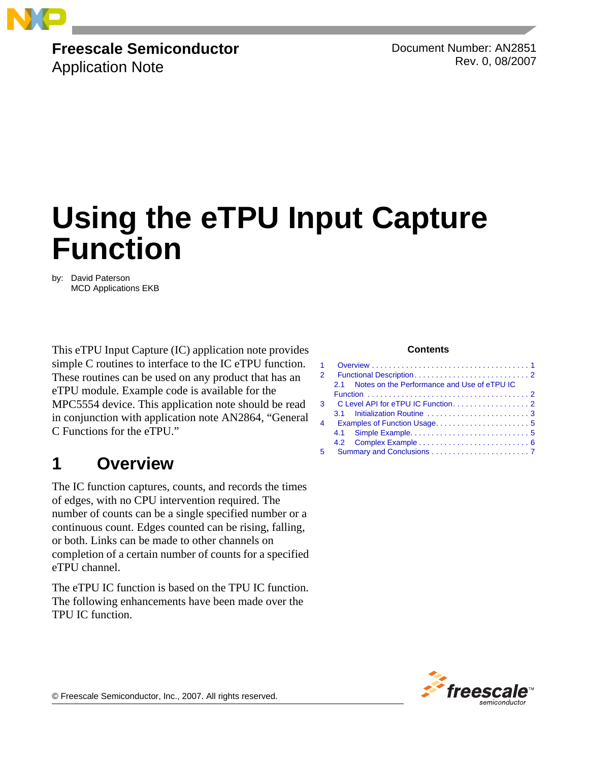

# **Freescale Semiconductor**

Application Note

Document Number: AN2851 Rev. 0, 08/2007

# **Using the eTPU Input Capture Function**

by: David Paterson MCD Applications EKB

This eTPU Input Capture (IC) application note provides simple C routines to interface to the IC eTPU function. These routines can be used on any product that has an eTPU module. Example code is available for the MPC5554 device. This application note should be read in conjunction with application note AN2864, "General C Functions for the eTPU."

# <span id="page-0-0"></span>**1 Overview**

The IC function captures, counts, and records the times of edges, with no CPU intervention required. The number of counts can be a single specified number or a continuous count. Edges counted can be rising, falling, or both. Links can be made to other channels on completion of a certain number of counts for a specified eTPU channel.

The eTPU IC function is based on the TPU IC function. The following enhancements have been made over the TPU IC function.

#### **Contents**

| $\mathcal{P}$  |                                                   |  |  |  |  |
|----------------|---------------------------------------------------|--|--|--|--|
|                | Notes on the Performance and Use of eTPU IC<br>21 |  |  |  |  |
|                |                                                   |  |  |  |  |
| 3              |                                                   |  |  |  |  |
|                |                                                   |  |  |  |  |
| $\overline{4}$ |                                                   |  |  |  |  |
|                |                                                   |  |  |  |  |
|                |                                                   |  |  |  |  |
| 5              |                                                   |  |  |  |  |



© Freescale Semiconductor, Inc., 2007. All rights reserved.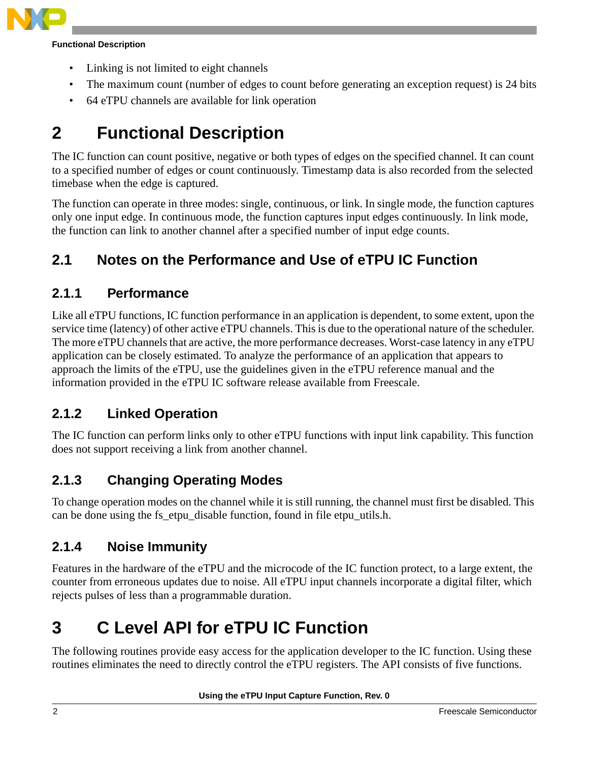

#### **Functional Description**

- Linking is not limited to eight channels
- The maximum count (number of edges to count before generating an exception request) is 24 bits
- 64 eTPU channels are available for link operation

# <span id="page-1-0"></span>**2 Functional Description**

The IC function can count positive, negative or both types of edges on the specified channel. It can count to a specified number of edges or count continuously. Timestamp data is also recorded from the selected timebase when the edge is captured.

The function can operate in three modes: single, continuous, or link. In single mode, the function captures only one input edge. In continuous mode, the function captures input edges continuously. In link mode, the function can link to another channel after a specified number of input edge counts.

## <span id="page-1-1"></span>**2.1 Notes on the Performance and Use of eTPU IC Function**

### **2.1.1 Performance**

Like all eTPU functions, IC function performance in an application is dependent, to some extent, upon the service time (latency) of other active eTPU channels. This is due to the operational nature of the scheduler. The more eTPU channels that are active, the more performance decreases. Worst-case latency in any eTPU application can be closely estimated. To analyze the performance of an application that appears to approach the limits of the eTPU, use the guidelines given in the eTPU reference manual and the information provided in the eTPU IC software release available from Freescale.

## **2.1.2 Linked Operation**

The IC function can perform links only to other eTPU functions with input link capability. This function does not support receiving a link from another channel.

## **2.1.3 Changing Operating Modes**

To change operation modes on the channel while it is still running, the channel must first be disabled. This can be done using the fs etpu disable function, found in file etpu utils.h.

## **2.1.4 Noise Immunity**

Features in the hardware of the eTPU and the microcode of the IC function protect, to a large extent, the counter from erroneous updates due to noise. All eTPU input channels incorporate a digital filter, which rejects pulses of less than a programmable duration.

# <span id="page-1-2"></span>**3 C Level API for eTPU IC Function**

The following routines provide easy access for the application developer to the IC function. Using these routines eliminates the need to directly control the eTPU registers. The API consists of five functions.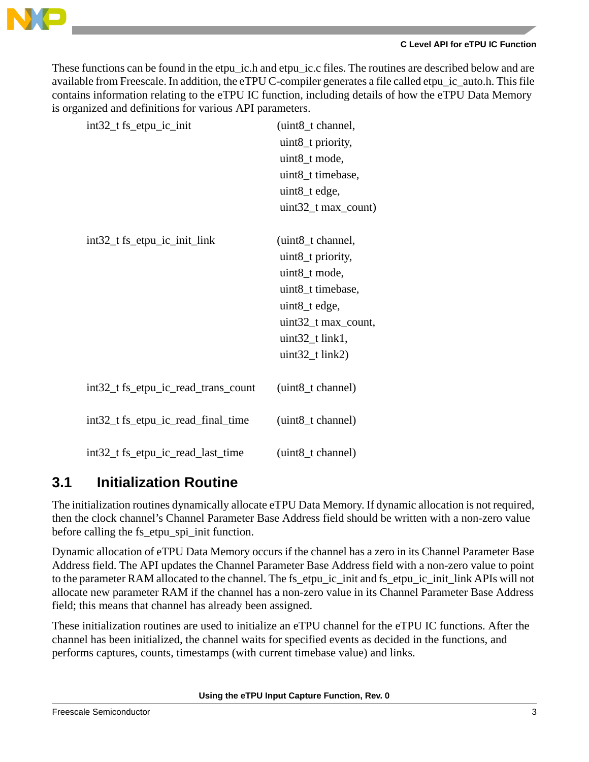

#### **C Level API for eTPU IC Function**

These functions can be found in the etpu\_ic.h and etpu\_ic.c files. The routines are described below and are available from Freescale. In addition, the eTPU C-compiler generates a file called etpu\_ic\_auto.h. This file contains information relating to the eTPU IC function, including details of how the eTPU Data Memory is organized and definitions for various API parameters.

| int32_t fs_etpu_ic_init             | (uint8_t channel,     |
|-------------------------------------|-----------------------|
|                                     | uint8_t priority,     |
|                                     | uint8_t mode,         |
|                                     | uint8_t timebase,     |
|                                     | uint8_t edge,         |
|                                     | $uint32_t max_count)$ |
|                                     |                       |
| $int32_t$ fs_etpu_ic_init_link      | (uint8_t channel,     |
|                                     | uint8_t priority,     |
|                                     | uint8_t mode,         |
|                                     | uint8_t timebase,     |
|                                     | uint8_t edge,         |
|                                     | uint32_t max_count,   |
|                                     | $uint32_t link1,$     |
|                                     | $uint32_t link2)$     |
|                                     |                       |
| int32_t fs_etpu_ic_read_trans_count | (uint8_t channel)     |
|                                     |                       |
| int32_t fs_etpu_ic_read_final_time  | (uint8_t channel)     |
|                                     |                       |
| int32_t fs_etpu_ic_read_last_time   | (uint8_t channel)     |

## <span id="page-2-0"></span>**3.1 Initialization Routine**

The initialization routines dynamically allocate eTPU Data Memory. If dynamic allocation is not required, then the clock channel's Channel Parameter Base Address field should be written with a non-zero value before calling the fs\_etpu\_spi\_init function.

Dynamic allocation of eTPU Data Memory occurs if the channel has a zero in its Channel Parameter Base Address field. The API updates the Channel Parameter Base Address field with a non-zero value to point to the parameter RAM allocated to the channel. The fs\_etpu\_ic\_init and fs\_etpu\_ic\_init\_link APIs will not allocate new parameter RAM if the channel has a non-zero value in its Channel Parameter Base Address field; this means that channel has already been assigned.

These initialization routines are used to initialize an eTPU channel for the eTPU IC functions. After the channel has been initialized, the channel waits for specified events as decided in the functions, and performs captures, counts, timestamps (with current timebase value) and links.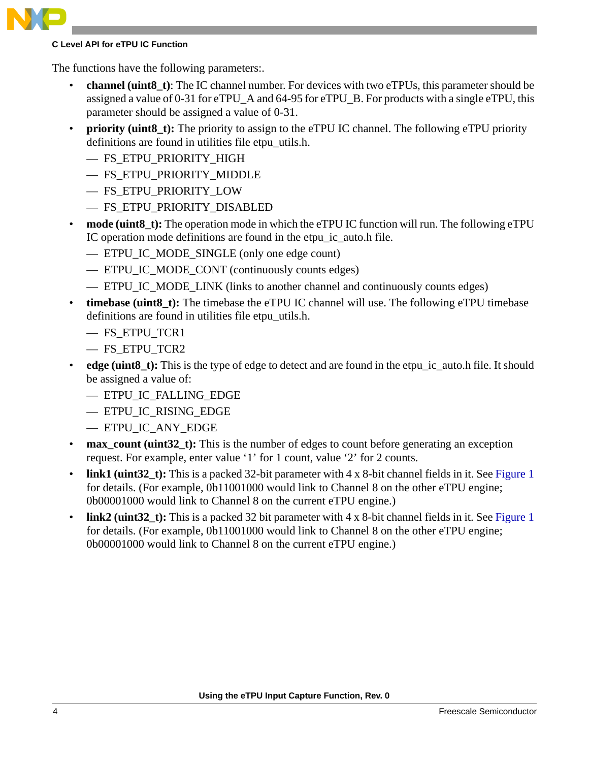#### **C Level API for eTPU IC Function**

The functions have the following parameters:.

- **channel (uint8\_t)**: The IC channel number. For devices with two eTPUs, this parameter should be assigned a value of 0-31 for eTPU\_A and 64-95 for eTPU\_B. For products with a single eTPU, this parameter should be assigned a value of 0-31.
- **priority (uint8 t):** The priority to assign to the eTPU IC channel. The following eTPU priority definitions are found in utilities file etpu\_utils.h.
	- FS\_ETPU\_PRIORITY\_HIGH
	- FS\_ETPU\_PRIORITY\_MIDDLE
	- FS\_ETPU\_PRIORITY\_LOW
	- FS\_ETPU\_PRIORITY\_DISABLED
- **mode (uint8\_t):** The operation mode in which the eTPU IC function will run. The following eTPU IC operation mode definitions are found in the etpu\_ic\_auto.h file.
	- ETPU\_IC\_MODE\_SINGLE (only one edge count)
	- ETPU\_IC\_MODE\_CONT (continuously counts edges)
	- ETPU IC MODE LINK (links to another channel and continuously counts edges)
- **timebase (uint8\_t):** The timebase the eTPU IC channel will use. The following eTPU timebase definitions are found in utilities file etpu\_utils.h.
	- FS\_ETPU\_TCR1
	- FS\_ETPU\_TCR2
- **edge** (uint8 t): This is the type of edge to detect and are found in the etpu\_ic\_auto.h file. It should be assigned a value of:
	- ETPU\_IC\_FALLING\_EDGE
	- ETPU\_IC\_RISING\_EDGE
	- ETPU\_IC\_ANY\_EDGE
- **max** count (uint32 t): This is the number of edges to count before generating an exception request. For example, enter value '1' for 1 count, value '2' for 2 counts.
- **link1 (uint32** t): This is a packed 32-bit parameter with 4 x 8-bit channel fields in it. See [Figure 1](#page-4-2) for details. (For example, 0b11001000 would link to Channel 8 on the other eTPU engine; 0b00001000 would link to Channel 8 on the current eTPU engine.)
- **link2 (uint32** t): This is a packed 32 bit parameter with 4 x 8-bit channel fields in it. See [Figure 1](#page-4-2) for details. (For example, 0b11001000 would link to Channel 8 on the other eTPU engine; 0b00001000 would link to Channel 8 on the current eTPU engine.)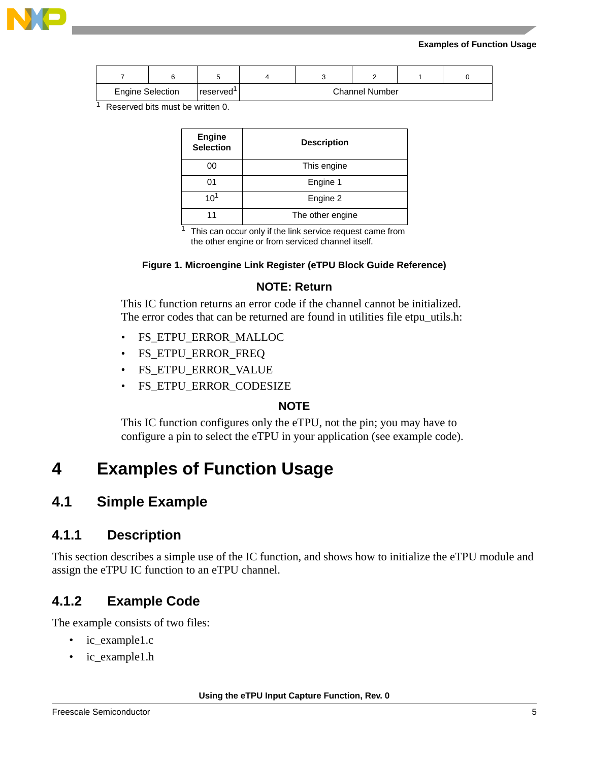

#### **Examples of Function Usage**

| <b>Engine Selection</b> | reserved' |  | <b>Channel Number</b> |  |
|-------------------------|-----------|--|-----------------------|--|

<sup>1</sup> Reserved bits must be written 0.

| <b>Engine</b><br><b>Selection</b> | <b>Description</b> |
|-----------------------------------|--------------------|
| 00                                | This engine        |
| 01                                | Engine 1           |
| 10                                | Engine 2           |
| 11                                | The other engine   |

 $1$  This can occur only if the link service request came from the other engine or from serviced channel itself.

#### **Figure 1. Microengine Link Register (eTPU Block Guide Reference)**

### **NOTE: Return**

<span id="page-4-2"></span>This IC function returns an error code if the channel cannot be initialized. The error codes that can be returned are found in utilities file etpu\_utils.h:

- FS\_ETPU\_ERROR\_MALLOC
- FS\_ETPU\_ERROR\_FREQ
- FS\_ETPU\_ERROR\_VALUE
- FS\_ETPU\_ERROR\_CODESIZE

### **NOTE**

This IC function configures only the eTPU, not the pin; you may have to configure a pin to select the eTPU in your application (see example code).

# <span id="page-4-0"></span>**4 Examples of Function Usage**

### <span id="page-4-1"></span>**4.1 Simple Example**

### **4.1.1 Description**

This section describes a simple use of the IC function, and shows how to initialize the eTPU module and assign the eTPU IC function to an eTPU channel.

### **4.1.2 Example Code**

The example consists of two files:

- ic\_example1.c
- ic\_example1.h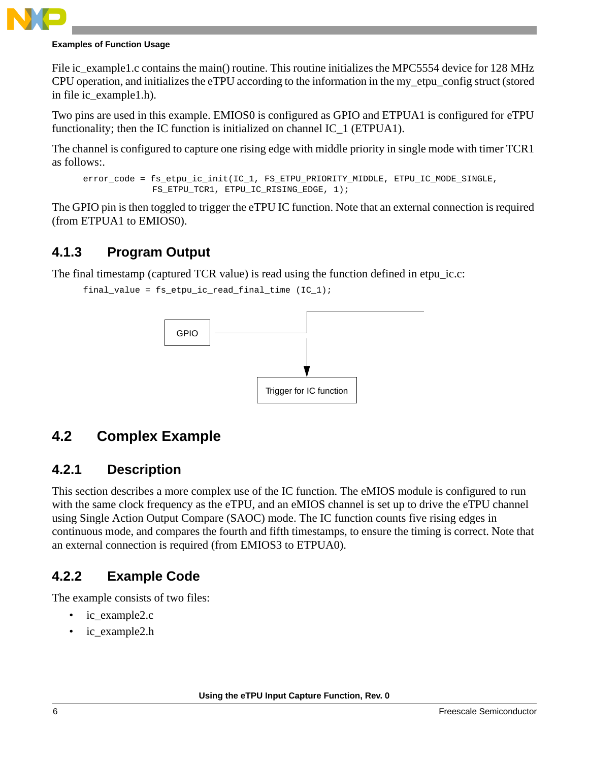#### **Examples of Function Usage**

File ic\_example1.c contains the main() routine. This routine initializes the MPC5554 device for 128 MHz CPU operation, and initializes the eTPU according to the information in the my\_etpu\_config struct (stored in file ic\_example1.h).

Two pins are used in this example. EMIOS0 is configured as GPIO and ETPUA1 is configured for eTPU functionality; then the IC function is initialized on channel IC 1 (ETPUA1).

The channel is configured to capture one rising edge with middle priority in single mode with timer TCR1 as follows:.

```
error_code = fs_etpu_ic_init(IC_1, FS_ETPU_PRIORITY_MIDDLE, ETPU_IC_MODE_SINGLE,
  FS_ETPU_TCR1, ETPU_IC_RISING_EDGE, 1);
```
The GPIO pin is then toggled to trigger the eTPU IC function. Note that an external connection is required (from ETPUA1 to EMIOS0).

### **4.1.3 Program Output**

The final timestamp (captured TCR value) is read using the function defined in etpu\_ic.c:

```
final_value = fs_etpu_ic_read_final_time (IC_1);
```


## <span id="page-5-0"></span>**4.2 Complex Example**

### **4.2.1 Description**

This section describes a more complex use of the IC function. The eMIOS module is configured to run with the same clock frequency as the eTPU, and an eMIOS channel is set up to drive the eTPU channel using Single Action Output Compare (SAOC) mode. The IC function counts five rising edges in continuous mode, and compares the fourth and fifth timestamps, to ensure the timing is correct. Note that an external connection is required (from EMIOS3 to ETPUA0).

### **4.2.2 Example Code**

The example consists of two files:

- ic\_example2.c
- ic\_example2.h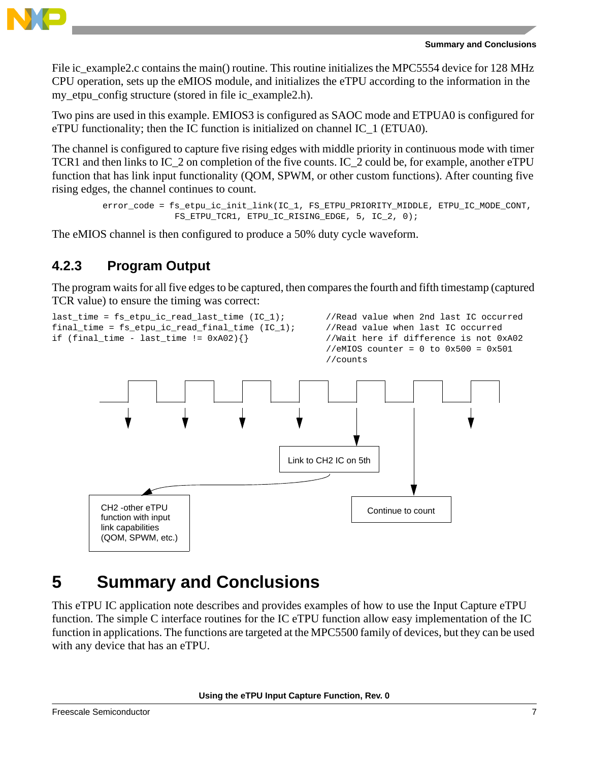

#### **Summary and Conclusions**

File ic\_example2.c contains the main() routine. This routine initializes the MPC5554 device for 128 MHz CPU operation, sets up the eMIOS module, and initializes the eTPU according to the information in the my\_etpu\_config structure (stored in file ic\_example2.h).

Two pins are used in this example. EMIOS3 is configured as SAOC mode and ETPUA0 is configured for eTPU functionality; then the IC function is initialized on channel IC 1 (ETUA0).

The channel is configured to capture five rising edges with middle priority in continuous mode with timer TCR1 and then links to IC\_2 on completion of the five counts. IC\_2 could be, for example, another eTPU function that has link input functionality (QOM, SPWM, or other custom functions). After counting five rising edges, the channel continues to count.

```
error_code = fs_etpu_ic_init_link(IC_1, FS_ETPU_PRIORITY_MIDDLE, ETPU_IC_MODE_CONT,
   FS_ETPU_TCR1, ETPU_IC_RISING_EDGE, 5, IC_2, 0);
```
The eMIOS channel is then configured to produce a 50% duty cycle waveform.

### **4.2.3 Program Output**

The program waits for all five edges to be captured, then compares the fourth and fifth timestamp (captured TCR value) to ensure the timing was correct:



# <span id="page-6-0"></span>**5 Summary and Conclusions**

This eTPU IC application note describes and provides examples of how to use the Input Capture eTPU function. The simple C interface routines for the IC eTPU function allow easy implementation of the IC function in applications. The functions are targeted at the MPC5500 family of devices, but they can be used with any device that has an eTPU.